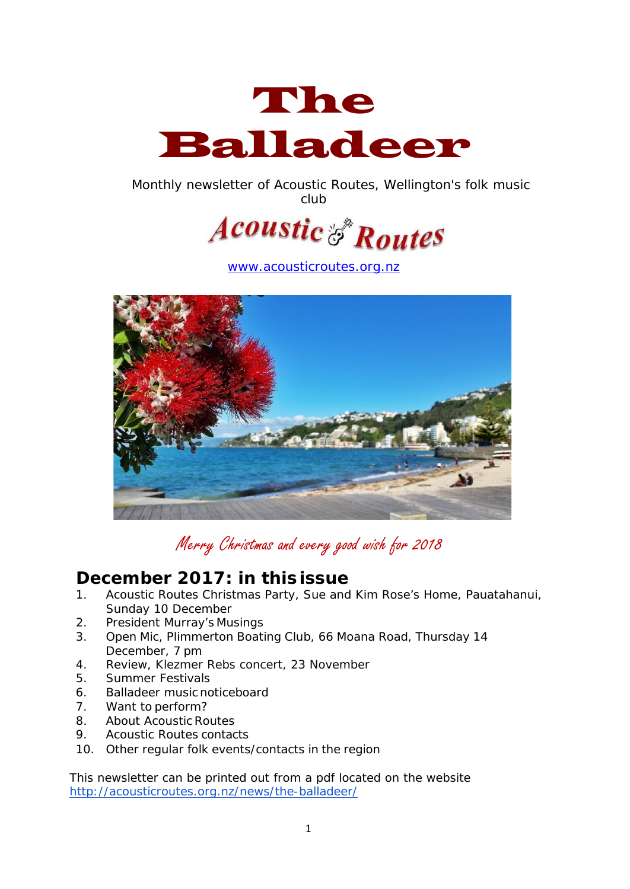

Monthly newsletter of Acoustic Routes, Wellington's folk music club



[www.acousticroutes.org.nz](http://www.acousticroutes.org.nz/)



Merry Christmas and every good wish for 2018

### **December 2017: in thisissue**

- 1. Acoustic Routes Christmas Party, Sue and Kim Rose's Home, Pauatahanui, Sunday 10 December
- 2. President Murray's Musings
- 3. Open Mic, Plimmerton Boating Club, 66 Moana Road, Thursday 14 December, 7 pm
- 4. Review, Klezmer Rebs concert, 23 November
- 5. Summer Festivals
- 6. Balladeer music noticeboard
- 7. Want to perform?
- 8. About Acoustic Routes
- 9. Acoustic Routes contacts
- 10. Other regular folk events/contacts in the region

This newsletter can be printed out from a pdf located on the website <http://acousticroutes.org.nz/news/the-balladeer/>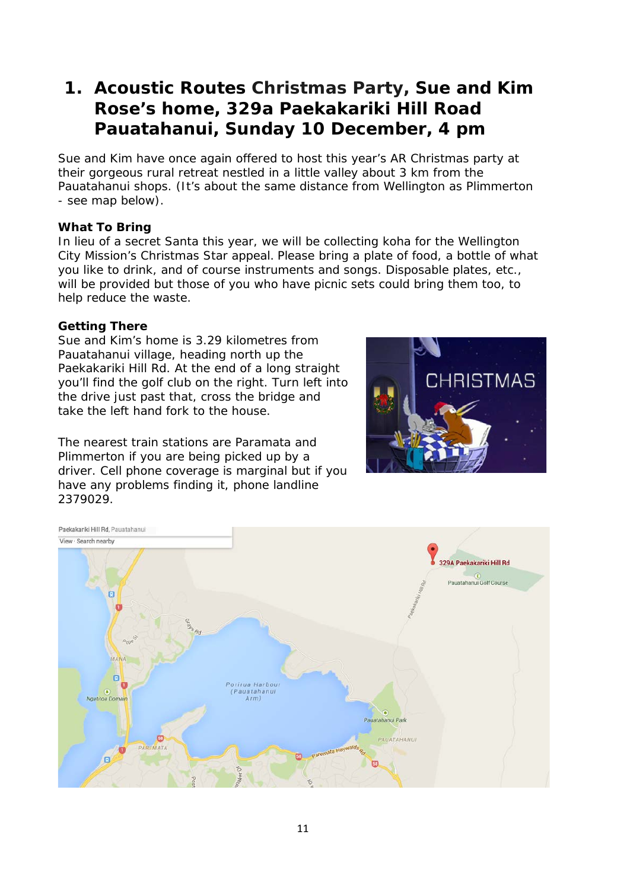# **1. Acoustic Routes Christmas Party, Sue and Kim Rose's home, 329a Paekakariki Hill Road Pauatahanui, Sunday 10 December, 4 pm**

Sue and Kim have once again offered to host this year's AR Christmas party at their gorgeous rural retreat nestled in a little valley about 3 km from the Pauatahanui shops. (It's about the same distance from Wellington as Plimmerton - see map below).

#### **What To Bring**

In lieu of a secret Santa this year, we will be collecting koha for the Wellington City Mission's Christmas Star appeal. Please bring a plate of food, a bottle of what you like to drink, and of course instruments and songs. Disposable plates, etc., will be provided but those of you who have picnic sets could bring them too, to help reduce the waste.

#### **Getting There**

Sue and Kim's home is 3.29 kilometres from Pauatahanui village, heading north up the Paekakariki Hill Rd. At the end of a long straight you'll find the golf club on the right. Turn left into the drive just past that, cross the bridge and take the left hand fork to the house.

The nearest train stations are Paramata and Plimmerton if you are being picked up by a driver. Cell phone coverage is marginal but if you have any problems finding it, phone landline 2379029.



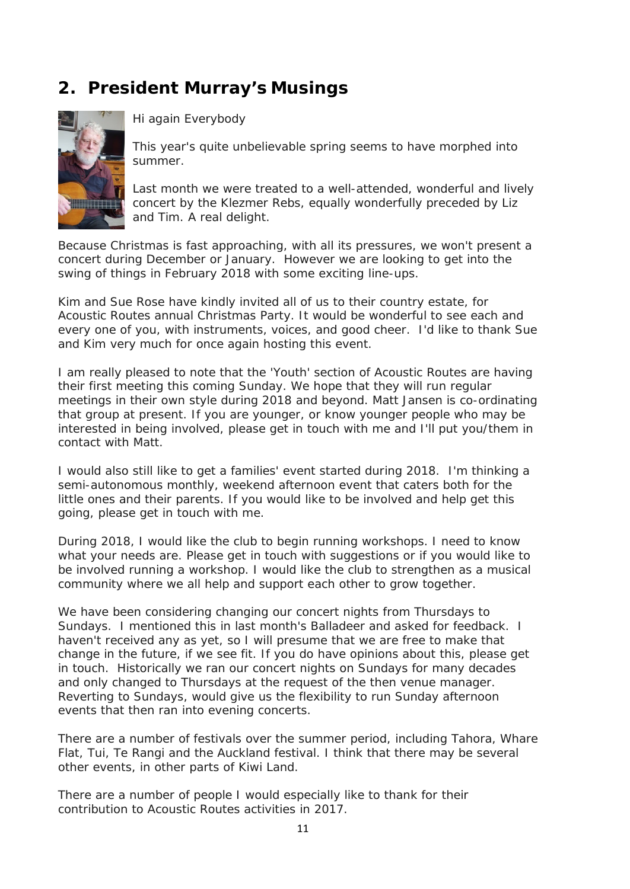# **2. President Murray's Musings**



Hi again Everybody

This year's quite unbelievable spring seems to have morphed into summer.

Last month we were treated to a well-attended, wonderful and lively concert by the Klezmer Rebs, equally wonderfully preceded by Liz and Tim. A real delight.

Because Christmas is fast approaching, with all its pressures, we won't present a concert during December or January. However we are looking to get into the swing of things in February 2018 with some exciting line-ups.

Kim and Sue Rose have kindly invited all of us to their country estate, for Acoustic Routes annual Christmas Party. It would be wonderful to see each and every one of you, with instruments, voices, and good cheer. I'd like to thank Sue and Kim very much for once again hosting this event.

I am really pleased to note that the 'Youth' section of Acoustic Routes are having their first meeting this coming Sunday. We hope that they will run regular meetings in their own style during 2018 and beyond. Matt Jansen is co-ordinating that group at present. If you are younger, or know younger people who may be interested in being involved, please get in touch with me and I'll put you/them in contact with Matt.

I would also still like to get a families' event started during 2018. I'm thinking a semi-autonomous monthly, weekend afternoon event that caters both for the little ones and their parents. If you would like to be involved and help get this going, please get in touch with me.

During 2018, I would like the club to begin running workshops. I need to know what your needs are. Please get in touch with suggestions or if you would like to be involved running a workshop. I would like the club to strengthen as a musical community where we all help and support each other to grow together.

We have been considering changing our concert nights from Thursdays to Sundays. I mentioned this in last month's Balladeer and asked for feedback. I haven't received any as yet, so I will presume that we are free to make that change in the future, if we see fit. If you do have opinions about this, please get in touch. Historically we ran our concert nights on Sundays for many decades and only changed to Thursdays at the request of the then venue manager. Reverting to Sundays, would give us the flexibility to run Sunday afternoon events that then ran into evening concerts.

There are a number of festivals over the summer period, including Tahora, Whare Flat, Tui, Te Rangi and the Auckland festival. I think that there may be several other events, in other parts of Kiwi Land.

There are a number of people I would especially like to thank for their contribution to Acoustic Routes activities in 2017.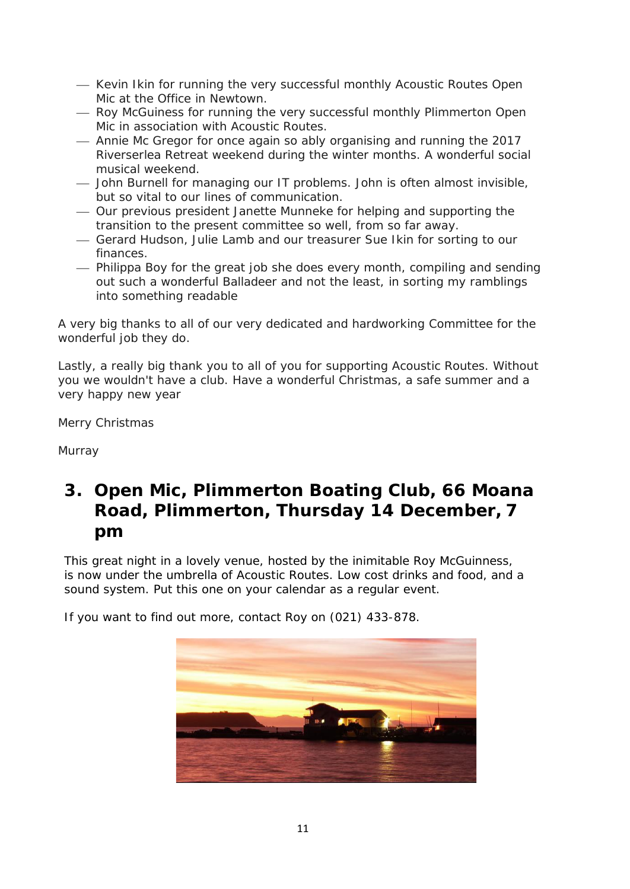- Kevin Ikin for running the very successful monthly Acoustic Routes Open Mic at the Office in Newtown.
- $-$  Roy McGuiness for running the very successful monthly Plimmerton Open Mic in association with Acoustic Routes.
- Annie Mc Gregor for once again so ably organising and running the 2017 Riverserlea Retreat weekend during the winter months. A wonderful social musical weekend.
- John Burnell for managing our IT problems. John is often almost invisible, but so vital to our lines of communication.
- Our previous president Janette Munneke for helping and supporting the transition to the present committee so well, from so far away.
- Gerard Hudson, Julie Lamb and our treasurer Sue Ikin for sorting to our finances.
- Philippa Boy for the great job she does every month, compiling and sending out such a wonderful Balladeer and not the least, in sorting my ramblings into something readable

A very big thanks to all of our very dedicated and hardworking Committee for the wonderful job they do.

Lastly, a really big thank you to all of you for supporting Acoustic Routes. Without you we wouldn't have a club. Have a wonderful Christmas, a safe summer and a very happy new year

Merry Christmas

Murray

## **3. Open Mic, Plimmerton Boating Club, 66 Moana Road, Plimmerton, Thursday 14 December, 7 pm**

This great night in a lovely venue, hosted by the inimitable Roy McGuinness, is now under the umbrella of Acoustic Routes. Low cost drinks and food, and a sound system. Put this one on your calendar as a regular event.

If you want to find out more, contact Roy on (021) 433-878.

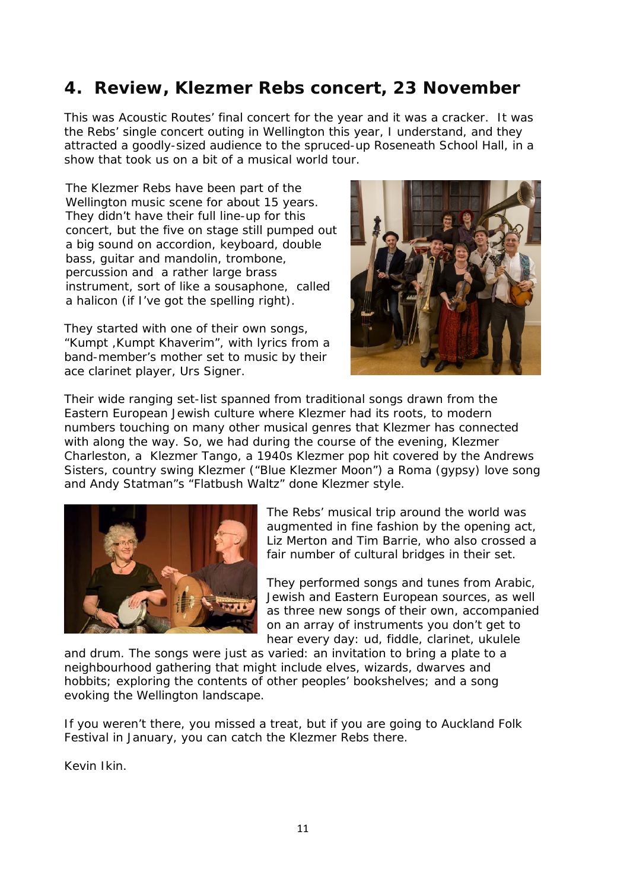## **4. Review, Klezmer Rebs concert, 23 November**

This was Acoustic Routes' final concert for the year and it was a cracker. It was the Rebs' single concert outing in Wellington this year, I understand, and they attracted a goodly-sized audience to the spruced-up Roseneath School Hall, in a show that took us on a bit of a musical world tour.

The Klezmer Rebs have been part of the Wellington music scene for about 15 years. They didn't have their full line-up for this concert, but the five on stage still pumped out a big sound on accordion, keyboard, double bass, guitar and mandolin, trombone, percussion and a rather large brass instrument, sort of like a sousaphone, called a halicon (if I've got the spelling right).

They started with one of their own songs, "Kumpt ,Kumpt Khaverim", with lyrics from a band-member's mother set to music by their ace clarinet player, Urs Signer.



Their wide ranging set-list spanned from traditional songs drawn from the Eastern European Jewish culture where Klezmer had its roots, to modern numbers touching on many other musical genres that Klezmer has connected with along the way. So, we had during the course of the evening, Klezmer Charleston, a Klezmer Tango, a 1940s Klezmer pop hit covered by the Andrews Sisters, country swing Klezmer ("Blue Klezmer Moon") a Roma (gypsy) love song and Andy Statman"s "Flatbush Waltz" done Klezmer style.



The Rebs' musical trip around the world was augmented in fine fashion by the opening act, Liz Merton and Tim Barrie, who also crossed a fair number of cultural bridges in their set.

They performed songs and tunes from Arabic, Jewish and Eastern European sources, as well as three new songs of their own, accompanied on an array of instruments you don't get to hear every day: ud, fiddle, clarinet, ukulele

and drum. The songs were just as varied: an invitation to bring a plate to a neighbourhood gathering that might include elves, wizards, dwarves and hobbits; exploring the contents of other peoples' bookshelves; and a song evoking the Wellington landscape.

If you weren't there, you missed a treat, but if you are going to Auckland Folk Festival in January, you can catch the Klezmer Rebs there.

Kevin Ikin.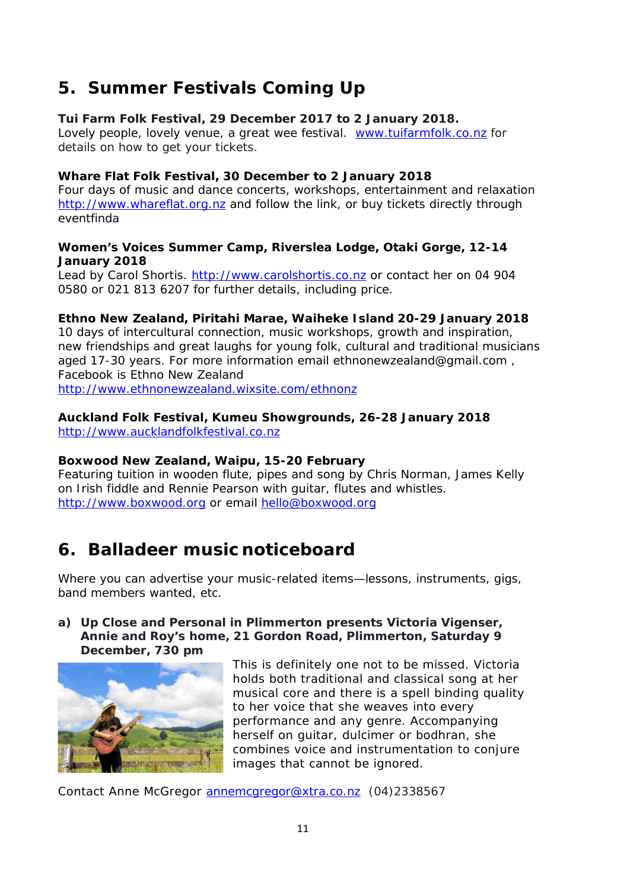# **5. Summer Festivals Coming Up**

#### **Tui Farm Folk Festival, 29 December 2017 to 2 January 2018.**

Lovely people, lovely venue, a great wee festival. [www.tuifarmfolk.co.nz](http://www.tuifarmfolk.co.nz/) for details on how to get your tickets.

#### **Whare Flat Folk Festival, 30 December to 2 January 2018**

Four days of music and dance concerts, workshops, entertainment and relaxation [http://www.whareflat.org.nz](http://www.whareflat.org.nz/) and follow the link, or buy tickets directly through eventfinda

#### **Women's Voices Summer Camp, Riverslea Lodge, Otaki Gorge, 12-14 January 2018**

Lead by Carol Shortis. [http://www.carolshortis.co.nz](http://www.carolshortis.co.nz/) or contact her on 04 904 0580 or 021 813 6207 for further details, including price.

#### **Ethno New Zealand, Piritahi Marae, Waiheke Island 20-29 January 2018**

10 days of intercultural connection, music workshops, growth and inspiration, new friendships and great laughs for young folk, cultural and traditional musicians aged 17-30 years. For more information email ethnonewzealand@gmail.com , Facebook is Ethno New Zealand <http://www.ethnonewzealand.wixsite.com/ethnonz>

# **Auckland Folk Festival, Kumeu Showgrounds, 26-28 January 2018**

[http://www.aucklandfolkfestival.co.nz](http://www.aucklandfolkfestival.co.nz/)

#### **Boxwood New Zealand, Waipu, 15-20 February**

Featuring tuition in wooden flute, pipes and song by Chris Norman, James Kelly on Irish fiddle and Rennie Pearson with guitar, flutes and whistles. [http://www.boxwood.org](http://www.boxwood.org/) or email [hello@boxwood.org](mailto:hello@boxwood.org)

# **6. Balladeer music noticeboard**

Where you can advertise your music-related items—lessons, instruments, gigs, band members wanted, etc.

#### **a) Up Close and Personal in Plimmerton presents Victoria Vigenser, Annie and Roy's home, 21 Gordon Road, Plimmerton, Saturday 9 December, 730 pm**



This is definitely one not to be missed. Victoria holds both traditional and classical song at her musical core and there is a spell binding quality to her voice that she weaves into every performance and any genre. Accompanying herself on guitar, dulcimer or bodhran, she combines voice and instrumentation to conjure images that cannot be ignored.

Contact Anne McGregor [annemcgregor@xtra.co.nz](mailto:annemcgregor@xtra.co.nz) (04)2338567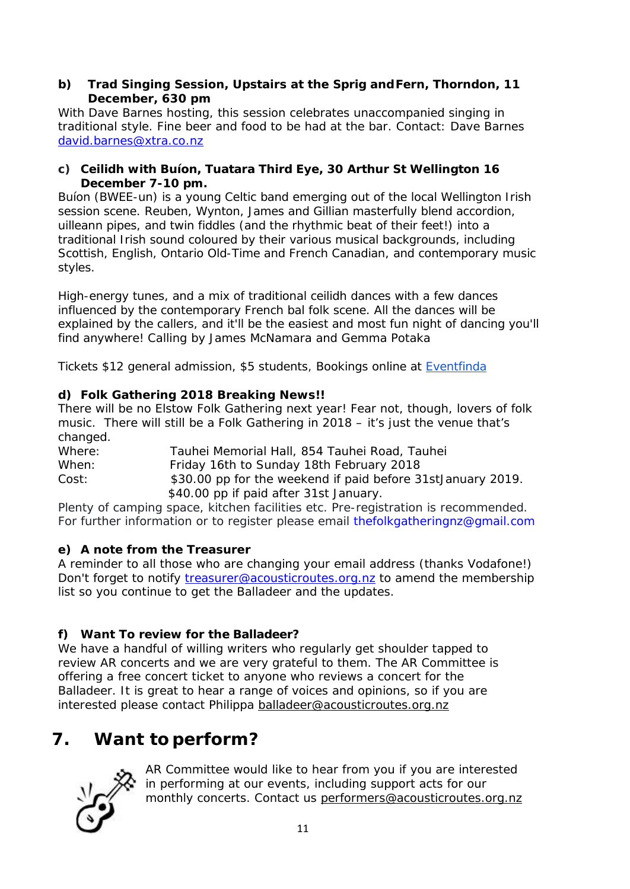#### **b) Trad Singing Session, Upstairs at the Sprig andFern, Thorndon, 11 December, 630 pm**

With Dave Barnes hosting, this session celebrates unaccompanied singing in traditional style. Fine beer and food to be had at the bar. Contact: Dave Barnes [david.barnes@xtra.co.nz](mailto:david.barnes@xtra.co.nz)

#### **c) Ceilidh with Buíon, Tuatara Third Eye, 30 Arthur St Wellington 16 December 7-10 pm.**

Buíon (BWEE-un) is a young Celtic band emerging out of the local Wellington Irish session scene. Reuben, Wynton, James and Gillian masterfully blend accordion, uilleann pipes, and twin fiddles (and the rhythmic beat of their feet!) into a traditional Irish sound coloured by their various musical backgrounds, including Scottish, English, Ontario Old-Time and French Canadian, and contemporary music styles.

High-energy tunes, and a mix of traditional ceilidh dances with a few dances influenced by the contemporary French bal folk scene. All the dances will be explained by the callers, and it'll be the easiest and most fun night of dancing you'll find anywhere! Calling by James McNamara and Gemma Potaka

Tickets \$12 general admission, \$5 students, Bookings online at [Eventfinda](https://www.eventfinda.co.nz/2017/ceilidh-with-buion/wellington?_ga=2.225772505.298075778.1511472630-1043289340.1511472630)

### **d) Folk Gathering 2018 Breaking News!!**

There will be no Elstow Folk Gathering next year! Fear not, though, lovers of folk music. There will still be a Folk Gathering in 2018 – it's just the venue that's changed.

Where: Tauhei Memorial Hall, 854 Tauhei Road, Tauhei When: Friday 16th to Sunday 18th February 2018 Cost: \$30.00 pp for the weekend if paid before 31stJanuary 2019. \$40.00 pp if paid after 31st January.

Plenty of camping space, kitchen facilities etc. Pre-registration is recommended. For further information or to register please email thefolkgatheringnz@gmail.com

### **e) A note from the Treasurer**

A reminder to all those who are changing your email address (thanks Vodafone!) Don't forget to notify [treasurer@acousticroutes.org.nz](mailto:treasurer@acousticroutes.org.nz) to amend the membership list so you continue to get the Balladeer and the updates.

### **f) Want To review for the Balladeer?**

We have a handful of willing writers who regularly get shoulder tapped to review AR concerts and we are very grateful to them. The AR Committee is offering a free concert ticket to anyone who reviews a concert for the Balladeer. It is great to hear a range of voices and opinions, so if you are interested please contact Philippa [balladeer@acousticroutes.org.nz](mailto:balladeer@acousticroutes.org.nz)

# **7. Want to perform?**



AR Committee would like to hear from you if you are interested in performing at our events, including support acts for our monthly concerts. Contact us [performers@acousticroutes.org.nz](mailto:performers@acousticroutes.org.nz)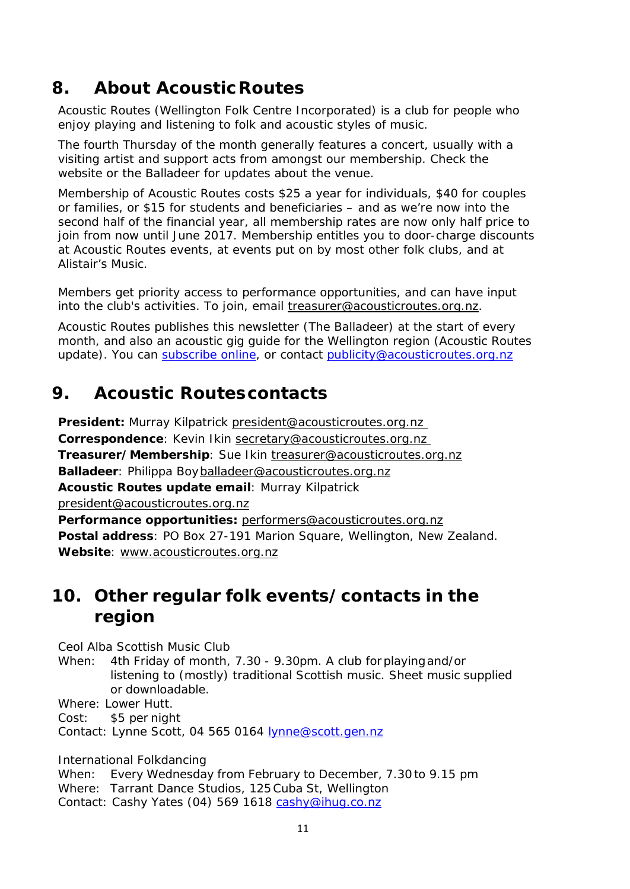# **8. About AcousticRoutes**

Acoustic Routes (Wellington Folk Centre Incorporated) is a club for people who enjoy playing and listening to folk and acoustic styles of music.

The fourth Thursday of the month generally features a concert, usually with a visiting artist and support acts from amongst our membership. Check the website or the Balladeer for updates about the venue.

Membership of Acoustic Routes costs \$25 a year for individuals, \$40 for couples or families, or \$15 for students and beneficiaries – and as we're now into the second half of the financial year, all membership rates are now only half price to join from now until June 2017. Membership entitles you to door-charge discounts at Acoustic Routes events, at events put on by most other folk clubs, and at Alistair's Music.

Members get priority access to performance opportunities, and can have input into the club's activities. To join, email [treasurer@acousticroutes.org.nz.](mailto:treasurer@acousticroutes.org.nz)

Acoustic Routes publishes this newsletter (The Balladeer) at the start of every month, and also an acoustic gig guide for the Wellington region (Acoustic Routes update). You can [subscribe online,](http://eepurl.com/mP90b) or contact [publicity@acousticroutes.org.nz](mailto:publicity@acousticroutes.org.nz)

# **9. Acoustic Routescontacts**

**President:** Murray Kilpatrick president@acousticroutes.org.nz **Correspondence**: Kevin Ikin [secretary@acousticroutes.org.nz](mailto:secretary@acousticroutes.org.nz)  **Treasurer/Membership**: Sue Ikin [treasurer@acousticroutes.org.nz](mailto:treasurer@acousticroutes.org.nz) **Balladeer**: Philippa Bo[yballadeer@acousticroutes.org.nz](mailto:balladeer@acousticroutes.org.nz) **Acoustic Routes update email**: Murray Kilpatrick [president@acousticroutes.org.nz](mailto:president@acousticroutes.org.nz) **Performance opportunities:** [performers@acousticroutes.org.nz](mailto:performers@acousticroutes.org.nz) **Postal address**: PO Box 27-191 Marion Square, Wellington, New Zealand. **Website**: [www.acousticroutes.org.nz](http://www.acousticroutes.org.nz/)

## **10. Other regular folk events/contacts in the region**

Ceol Alba Scottish Music Club

When: 4th Friday of month, 7.30 - 9.30pm. A club forplayingand/or listening to (mostly) traditional Scottish music. Sheet music supplied or downloadable.

Where: Lower Hutt.

Cost: \$5 per night

Contact: Lynne Scott, 04 565 0164 [lynne@scott.gen.nz](mailto:lynne@scott.gen.nz)

International Folkdancing

When: Every Wednesday from February to December, 7.30 to 9.15 pm Where: Tarrant Dance Studios, 125Cuba St, Wellington Contact: Cashy Yates (04) 569 1618 [cashy@ihug.co.nz](mailto:cashy@ihug.co.nz)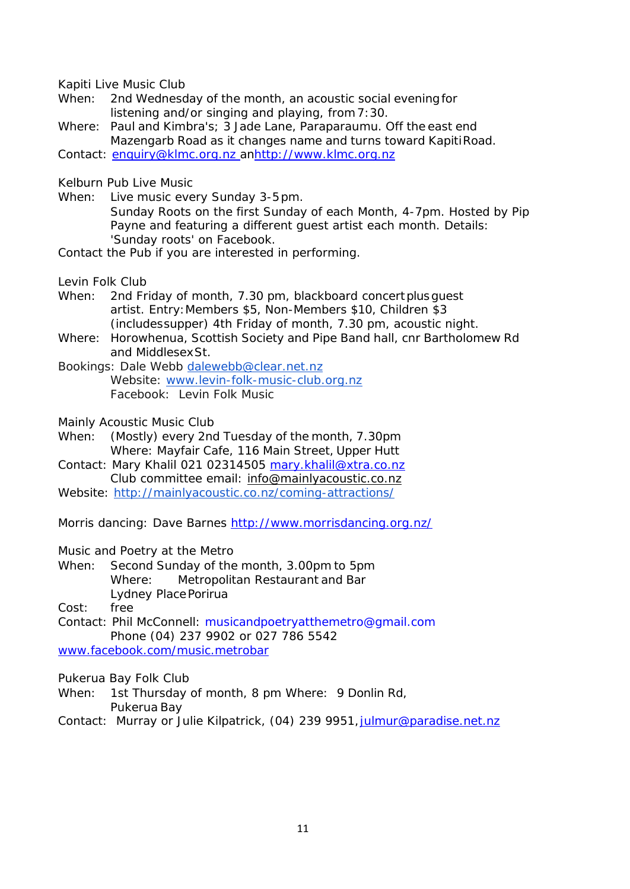Kapiti Live Music Club

- When: 2nd Wednesday of the month, an acoustic social eveningfor listening and/or singing and playing, from7:30.
- Where: Paul and Kimbra's; 3 Jade Lane, Paraparaumu. Off the east end Mazengarb Road as it changes name and turns toward KapitiRoad.

Contact: [enquiry@klmc.org.nz a](mailto:enquiry@klmc.org.nz)[nhttp://www.klmc.org.nz](http://www.klmc.org.nz/)

Kelburn Pub Live Music

When: Live music every Sunday 3-5pm. Sunday Roots on the first Sunday of each Month, 4-7pm. Hosted by Pip Payne and featuring a different guest artist each month. Details: 'Sunday roots' on Facebook.

Contact the Pub if you are interested in performing.

Levin Folk Club

- When: 2nd Friday of month, 7.30 pm, blackboard concert plus quest artist. Entry:Members \$5, Non-Members \$10, Children \$3 (includessupper) 4th Friday of month, 7.30 pm, acoustic night.
- Where: Horowhenua, Scottish Society and Pipe Band hall, cnr Bartholomew Rd and MiddlesexSt.

Bookings: Dale Webb [dalewebb@clear.net.nz](mailto:dalewebb@clear.net.nz) Website: [www.levin-folk-music-club.org.nz](http://www.levin-folk-music-club.org.nz/) Facebook: Levin Folk Music

Mainly Acoustic Music Club

- When: (Mostly) every 2nd Tuesday of the month, 7.30pm Where: Mayfair Cafe, 116 Main Street, Upper Hutt
- Contact: Mary Khalil 021 02314505 [mary.khalil@xtra.co.nz](mailto:mary.khalil@xtra.co.nz) Club committee email: [info@mainlyacoustic.co.nz](mailto:info@mainlyacoustic.co.nz)
- Website: [http://mainlyacoustic.co.nz/coming-attractions/](mailto:info@mainlyacoustic.co.nzhttp://mainlyacoustic.co.nz/coming-attractions/)

Morris dancing: Dave Barnes<http://www.morrisdancing.org.nz/>

Music and Poetry at the Metro

When: Second Sunday of the month, 3.00pm to 5pm Where: Metropolitan Restaurant and Bar Lydney PlacePorirua

Cost: free

Contact: Phil McConnell: [musicandpoetryatthemetro@gmail.com](mailto:musicandpoetryatthemetro@gmail.com) Phone (04) 237 9902 or 027 786 5542

[www.facebook.com/music.metrobar](http://www.facebook.com/music.metrobar)

Pukerua Bay Folk Club

- When: 1st Thursday of month, 8 pm Where: 9 Donlin Rd, Pukerua Bay
- Contact: Murray or Julie Kilpatrick, (04) 239 9951, julmur@paradise.net.nz